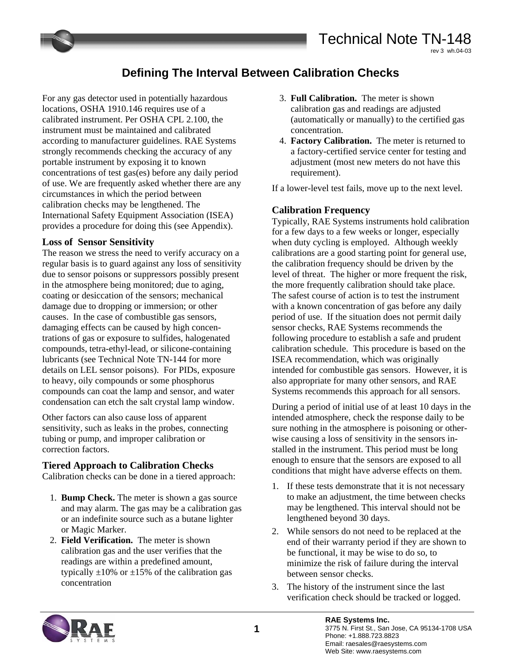# **Defining The Interval Between Calibration Checks**

For any gas detector used in potentially hazardous locations, OSHA 1910.146 requires use of a calibrated instrument. Per OSHA CPL 2.100, the instrument must be maintained and calibrated according to manufacturer guidelines. RAE Systems strongly recommends checking the accuracy of any portable instrument by exposing it to known concentrations of test gas(es) before any daily period of use. We are frequently asked whether there are any circumstances in which the period between calibration checks may be lengthened. The International Safety Equipment Association (ISEA) provides a procedure for doing this (see Appendix).

### **Loss of Sensor Sensitivity**

The reason we stress the need to verify accuracy on a regular basis is to guard against any loss of sensitivity due to sensor poisons or suppressors possibly present in the atmosphere being monitored; due to aging, coating or desiccation of the sensors; mechanical damage due to dropping or immersion; or other causes. In the case of combustible gas sensors, damaging effects can be caused by high concentrations of gas or exposure to sulfides, halogenated compounds, tetra-ethyl-lead, or silicone-containing lubricants (see Technical Note TN-144 for more details on LEL sensor poisons). For PIDs, exposure to heavy, oily compounds or some phosphorus compounds can coat the lamp and sensor, and water condensation can etch the salt crystal lamp window.

Other factors can also cause loss of apparent sensitivity, such as leaks in the probes, connecting tubing or pump, and improper calibration or correction factors.

#### **Tiered Approach to Calibration Checks**

Calibration checks can be done in a tiered approach:

- 1. **Bump Check.** The meter is shown a gas source and may alarm. The gas may be a calibration gas or an indefinite source such as a butane lighter or Magic Marker.
- 2. **Field Verification.** The meter is shown calibration gas and the user verifies that the readings are within a predefined amount, typically  $\pm 10\%$  or  $\pm 15\%$  of the calibration gas concentration
- 3. **Full Calibration.** The meter is shown calibration gas and readings are adjusted (automatically or manually) to the certified gas concentration.
- 4. **Factory Calibration.** The meter is returned to a factory-certified service center for testing and adjustment (most new meters do not have this requirement).

If a lower-level test fails, move up to the next level.

# **Calibration Frequency**

Typically, RAE Systems instruments hold calibration for a few days to a few weeks or longer, especially when duty cycling is employed. Although weekly calibrations are a good starting point for general use, the calibration frequency should be driven by the level of threat. The higher or more frequent the risk, the more frequently calibration should take place. The safest course of action is to test the instrument with a known concentration of gas before any daily period of use. If the situation does not permit daily sensor checks, RAE Systems recommends the following procedure to establish a safe and prudent calibration schedule. This procedure is based on the ISEA recommendation, which was originally intended for combustible gas sensors. However, it is also appropriate for many other sensors, and RAE Systems recommends this approach for all sensors.

During a period of initial use of at least 10 days in the intended atmosphere, check the response daily to be sure nothing in the atmosphere is poisoning or otherwise causing a loss of sensitivity in the sensors installed in the instrument. This period must be long enough to ensure that the sensors are exposed to all conditions that might have adverse effects on them.

- 1. If these tests demonstrate that it is not necessary to make an adjustment, the time between checks may be lengthened. This interval should not be lengthened beyond 30 days.
- 2. While sensors do not need to be replaced at the end of their warranty period if they are shown to be functional, it may be wise to do so, to minimize the risk of failure during the interval between sensor checks.
- 3. The history of the instrument since the last verification check should be tracked or logged.